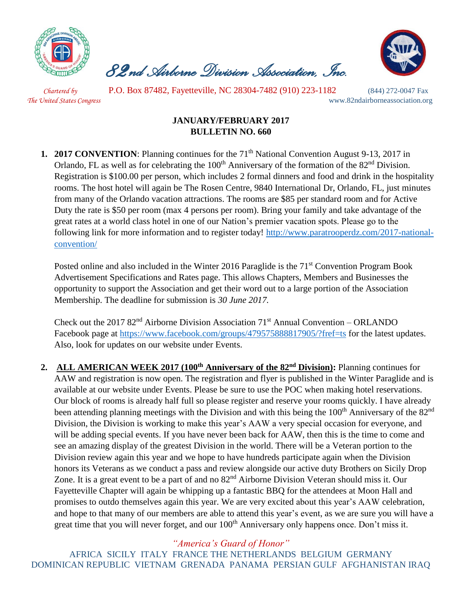

 *82nd Airborne Division Association, Inc.* 



 *Chartered by* P.O. Box 87482, Fayetteville, NC 28304-7482 (910) 223-1182 (844) 272-0047 Fax *The United States Congress* www.82ndairborneassociation.org

## **JANUARY/FEBRUARY 2017 BULLETIN NO. 660**

**1. 2017 CONVENTION**: Planning continues for the 71<sup>th</sup> National Convention August 9-13, 2017 in Orlando, FL as well as for celebrating the 100<sup>th</sup> Anniversary of the formation of the 82<sup>nd</sup> Division. Registration is \$100.00 per person, which includes 2 formal dinners and food and drink in the hospitality rooms. The host hotel will again be The Rosen Centre, 9840 International Dr, Orlando, FL, just minutes from many of the Orlando vacation attractions. The rooms are \$85 per standard room and for Active Duty the rate is \$50 per room (max 4 persons per room). Bring your family and take advantage of the great rates at a world class hotel in one of our Nation's premier vacation spots. Please go to the following link for more information and to register today! [http://www.paratrooperdz.com/2017-national](http://www.paratrooperdz.com/2017-national-convention/)[convention/](http://www.paratrooperdz.com/2017-national-convention/)

Posted online and also included in the Winter 2016 Paraglide is the 71<sup>st</sup> Convention Program Book Advertisement Specifications and Rates page. This allows Chapters, Members and Businesses the opportunity to support the Association and get their word out to a large portion of the Association Membership. The deadline for submission is *30 June 2017.*

Check out the 2017  $82<sup>nd</sup>$  Airborne Division Association 71<sup>st</sup> Annual Convention – ORLANDO Facebook page at<https://www.facebook.com/groups/479575888817905/?fref=ts> for the latest updates. Also, look for updates on our website under Events.

**2. ALL AMERICAN WEEK 2017 (100th Anniversary of the 82nd Division):** Planning continues for AAW and registration is now open. The registration and flyer is published in the Winter Paraglide and is available at our website under Events. Please be sure to use the POC when making hotel reservations. Our block of rooms is already half full so please register and reserve your rooms quickly. I have already been attending planning meetings with the Division and with this being the 100<sup>th</sup> Anniversary of the 82<sup>nd</sup> Division, the Division is working to make this year's AAW a very special occasion for everyone, and will be adding special events. If you have never been back for AAW, then this is the time to come and see an amazing display of the greatest Division in the world. There will be a Veteran portion to the Division review again this year and we hope to have hundreds participate again when the Division honors its Veterans as we conduct a pass and review alongside our active duty Brothers on Sicily Drop Zone. It is a great event to be a part of and no  $82<sup>nd</sup>$  Airborne Division Veteran should miss it. Our Fayetteville Chapter will again be whipping up a fantastic BBQ for the attendees at Moon Hall and promises to outdo themselves again this year. We are very excited about this year's AAW celebration, and hope to that many of our members are able to attend this year's event, as we are sure you will have a great time that you will never forget, and our 100<sup>th</sup> Anniversary only happens once. Don't miss it.

*"America's Guard of Honor"*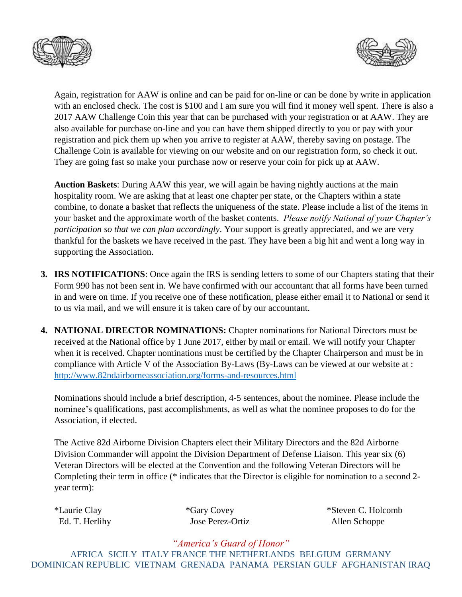



Again, registration for AAW is online and can be paid for on-line or can be done by write in application with an enclosed check. The cost is \$100 and I am sure you will find it money well spent. There is also a 2017 AAW Challenge Coin this year that can be purchased with your registration or at AAW. They are also available for purchase on-line and you can have them shipped directly to you or pay with your registration and pick them up when you arrive to register at AAW, thereby saving on postage. The Challenge Coin is available for viewing on our website and on our registration form, so check it out. They are going fast so make your purchase now or reserve your coin for pick up at AAW.

**Auction Baskets**: During AAW this year, we will again be having nightly auctions at the main hospitality room. We are asking that at least one chapter per state, or the Chapters within a state combine, to donate a basket that reflects the uniqueness of the state. Please include a list of the items in your basket and the approximate worth of the basket contents. *Please notify National of your Chapter's participation so that we can plan accordingly*. Your support is greatly appreciated, and we are very thankful for the baskets we have received in the past. They have been a big hit and went a long way in supporting the Association.

- **3. IRS NOTIFICATIONS**: Once again the IRS is sending letters to some of our Chapters stating that their Form 990 has not been sent in. We have confirmed with our accountant that all forms have been turned in and were on time. If you receive one of these notification, please either email it to National or send it to us via mail, and we will ensure it is taken care of by our accountant.
- **4. NATIONAL DIRECTOR NOMINATIONS:** Chapter nominations for National Directors must be received at the National office by 1 June 2017, either by mail or email. We will notify your Chapter when it is received. Chapter nominations must be certified by the Chapter Chairperson and must be in compliance with Article V of the Association By-Laws (By-Laws can be viewed at our website at : <http://www.82ndairborneassociation.org/forms-and-resources.html>

Nominations should include a brief description, 4-5 sentences, about the nominee. Please include the nominee's qualifications, past accomplishments, as well as what the nominee proposes to do for the Association, if elected.

The Active 82d Airborne Division Chapters elect their Military Directors and the 82d Airborne Division Commander will appoint the Division Department of Defense Liaison. This year six (6) Veteran Directors will be elected at the Convention and the following Veteran Directors will be Completing their term in office (\* indicates that the Director is eligible for nomination to a second 2 year term):

Ed. T. Herlihy Jose Perez-Ortiz Allen Schoppe

\*Laurie Clay \*Gary Covey \*Steven C. Holcomb

*"America's Guard of Honor"*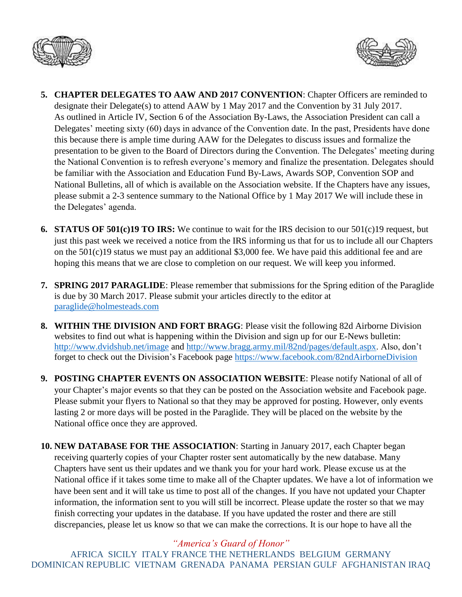



- **5. CHAPTER DELEGATES TO AAW AND 2017 CONVENTION**: Chapter Officers are reminded to designate their Delegate(s) to attend AAW by 1 May 2017 and the Convention by 31 July 2017. As outlined in Article IV, Section 6 of the Association By-Laws, the Association President can call a Delegates' meeting sixty (60) days in advance of the Convention date. In the past, Presidents have done this because there is ample time during AAW for the Delegates to discuss issues and formalize the presentation to be given to the Board of Directors during the Convention. The Delegates' meeting during the National Convention is to refresh everyone's memory and finalize the presentation. Delegates should be familiar with the Association and Education Fund By-Laws, Awards SOP, Convention SOP and National Bulletins, all of which is available on the Association website. If the Chapters have any issues, please submit a 2-3 sentence summary to the National Office by 1 May 2017 We will include these in the Delegates' agenda.
- **6. STATUS OF 501(c)19 TO IRS:** We continue to wait for the IRS decision to our 501(c)19 request, but just this past week we received a notice from the IRS informing us that for us to include all our Chapters on the 501(c)19 status we must pay an additional \$3,000 fee. We have paid this additional fee and are hoping this means that we are close to completion on our request. We will keep you informed.
- **7. SPRING 2017 PARAGLIDE**: Please remember that submissions for the Spring edition of the Paraglide is due by 30 March 2017. Please submit your articles directly to the editor at [paraglide@holmesteads.com](mailto:paraglide@holmesteads.com)
- **8. WITHIN THE DIVISION AND FORT BRAGG**: Please visit the following 82d Airborne Division websites to find out what is happening within the Division and sign up for our E-News bulletin: <http://www.dvidshub.net/image> and [http://www.bragg.army.mil/82nd/pages/default.aspx.](http://www.bragg.army.mil/82ND/Pages/default.aspx) Also, don't forget to check out the Division's Facebook page<https://www.facebook.com/82ndAirborneDivision>
- **9. POSTING CHAPTER EVENTS ON ASSOCIATION WEBSITE**: Please notify National of all of your Chapter's major events so that they can be posted on the Association website and Facebook page. Please submit your flyers to National so that they may be approved for posting. However, only events lasting 2 or more days will be posted in the Paraglide. They will be placed on the website by the National office once they are approved.
- **10. NEW DATABASE FOR THE ASSOCIATION**: Starting in January 2017, each Chapter began receiving quarterly copies of your Chapter roster sent automatically by the new database. Many Chapters have sent us their updates and we thank you for your hard work. Please excuse us at the National office if it takes some time to make all of the Chapter updates. We have a lot of information we have been sent and it will take us time to post all of the changes. If you have not updated your Chapter information, the information sent to you will still be incorrect. Please update the roster so that we may finish correcting your updates in the database. If you have updated the roster and there are still discrepancies, please let us know so that we can make the corrections. It is our hope to have all the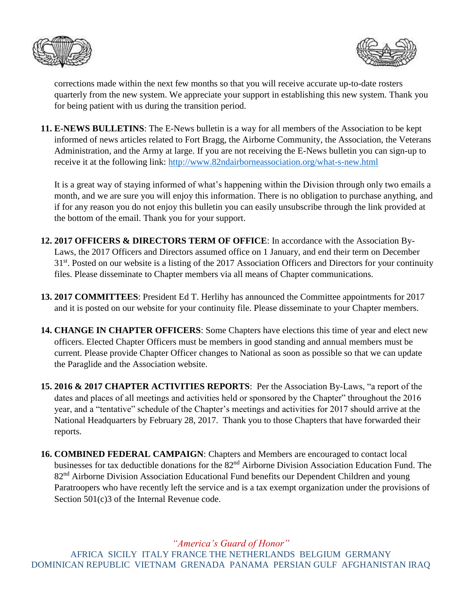



corrections made within the next few months so that you will receive accurate up-to-date rosters quarterly from the new system. We appreciate your support in establishing this new system. Thank you for being patient with us during the transition period.

**11. E-NEWS BULLETINS**: The E-News bulletin is a way for all members of the Association to be kept informed of news articles related to Fort Bragg, the Airborne Community, the Association, the Veterans Administration, and the Army at large. If you are not receiving the E-News bulletin you can sign-up to receive it at the following link:<http://www.82ndairborneassociation.org/what-s-new.html>

It is a great way of staying informed of what's happening within the Division through only two emails a month, and we are sure you will enjoy this information. There is no obligation to purchase anything, and if for any reason you do not enjoy this bulletin you can easily unsubscribe through the link provided at the bottom of the email. Thank you for your support.

- **12. 2017 OFFICERS & DIRECTORS TERM OF OFFICE**: In accordance with the Association By-Laws, the 2017 Officers and Directors assumed office on 1 January, and end their term on December 31<sup>st</sup>. Posted on our website is a listing of the 2017 Association Officers and Directors for your continuity files. Please disseminate to Chapter members via all means of Chapter communications.
- **13. 2017 COMMITTEES**: President Ed T. Herlihy has announced the Committee appointments for 2017 and it is posted on our website for your continuity file. Please disseminate to your Chapter members.
- **14. CHANGE IN CHAPTER OFFICERS**: Some Chapters have elections this time of year and elect new officers. Elected Chapter Officers must be members in good standing and annual members must be current. Please provide Chapter Officer changes to National as soon as possible so that we can update the Paraglide and the Association website.

**15. 2016 & 2017 CHAPTER ACTIVITIES REPORTS**: Per the Association By-Laws, "a report of the dates and places of all meetings and activities held or sponsored by the Chapter" throughout the 2016 year, and a "tentative" schedule of the Chapter's meetings and activities for 2017 should arrive at the National Headquarters by February 28, 2017. Thank you to those Chapters that have forwarded their reports.

**16. COMBINED FEDERAL CAMPAIGN**: Chapters and Members are encouraged to contact local businesses for tax deductible donations for the 82nd Airborne Division Association Education Fund. The 82<sup>nd</sup> Airborne Division Association Educational Fund benefits our Dependent Children and young Paratroopers who have recently left the service and is a tax exempt organization under the provisions of Section 501(c)3 of the Internal Revenue code.

*"America's Guard of Honor"*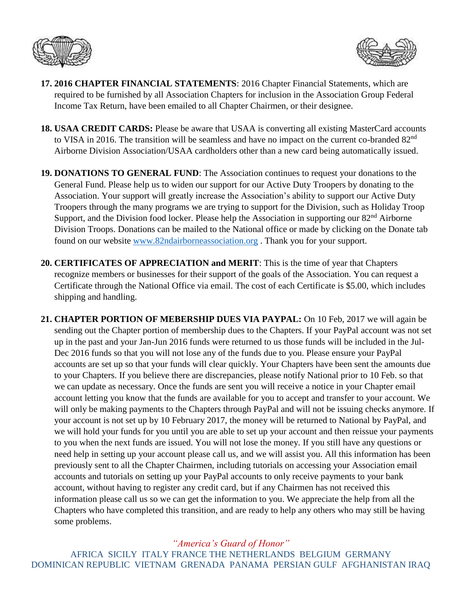



- **17. 2016 CHAPTER FINANCIAL STATEMENTS**: 2016 Chapter Financial Statements, which are required to be furnished by all Association Chapters for inclusion in the Association Group Federal Income Tax Return, have been emailed to all Chapter Chairmen, or their designee.
- **18. USAA CREDIT CARDS:** Please be aware that USAA is converting all existing MasterCard accounts to VISA in 2016. The transition will be seamless and have no impact on the current co-branded 82<sup>nd</sup> Airborne Division Association/USAA cardholders other than a new card being automatically issued.
- **19. DONATIONS TO GENERAL FUND**: The Association continues to request your donations to the General Fund. Please help us to widen our support for our Active Duty Troopers by donating to the Association. Your support will greatly increase the Association's ability to support our Active Duty Troopers through the many programs we are trying to support for the Division, such as Holiday Troop Support, and the Division food locker. Please help the Association in supporting our 82<sup>nd</sup> Airborne Division Troops. Donations can be mailed to the National office or made by clicking on the Donate tab found on our website [www.82ndairborneassociation.org](http://www.82ndairborneassociation.org/) . Thank you for your support.
- **20. CERTIFICATES OF APPRECIATION and MERIT**: This is the time of year that Chapters recognize members or businesses for their support of the goals of the Association. You can request a Certificate through the National Office via email. The cost of each Certificate is \$5.00, which includes shipping and handling.
- **21. CHAPTER PORTION OF MEBERSHIP DUES VIA PAYPAL:** On 10 Feb, 2017 we will again be sending out the Chapter portion of membership dues to the Chapters. If your PayPal account was not set up in the past and your Jan-Jun 2016 funds were returned to us those funds will be included in the Jul-Dec 2016 funds so that you will not lose any of the funds due to you. Please ensure your PayPal accounts are set up so that your funds will clear quickly. Your Chapters have been sent the amounts due to your Chapters. If you believe there are discrepancies, please notify National prior to 10 Feb. so that we can update as necessary. Once the funds are sent you will receive a notice in your Chapter email account letting you know that the funds are available for you to accept and transfer to your account. We will only be making payments to the Chapters through PayPal and will not be issuing checks anymore. If your account is not set up by 10 February 2017, the money will be returned to National by PayPal, and we will hold your funds for you until you are able to set up your account and then reissue your payments to you when the next funds are issued. You will not lose the money. If you still have any questions or need help in setting up your account please call us, and we will assist you. All this information has been previously sent to all the Chapter Chairmen, including tutorials on accessing your Association email accounts and tutorials on setting up your PayPal accounts to only receive payments to your bank account, without having to register any credit card, but if any Chairmen has not received this information please call us so we can get the information to you. We appreciate the help from all the Chapters who have completed this transition, and are ready to help any others who may still be having some problems.

## *"America's Guard of Honor"*